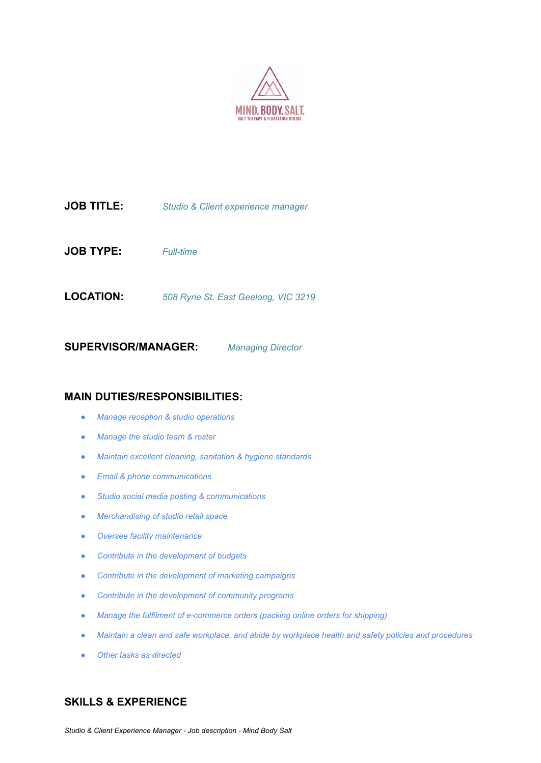

**JOB TITLE:** *Studio & Client experience manager*

**JOB TYPE:** *Full-time*

**LOCATION:** *508 Ryrie St. East Geelong, VIC 3219*

**SUPERVISOR/MANAGER:** *Managing Director*

#### **MAIN DUTIES/RESPONSIBILITIES:**

- *● Manage reception & studio operations*
- *● Manage the studio team & roster*
- *● Maintain excellent cleaning, sanitation & hygiene standards*
- *● Email & phone communications*
- *● Studio social media posting & communications*
- *● Merchandising of studio retail space*
- *● Oversee facility maintenance*
- *● Contribute in the development of budgets*
- *● Contribute in the development of marketing campaigns*
- *● Contribute in the development of community programs*
- *● Manage the fulfilment of e-commerce orders (packing online orders for shipping)*
- *● Maintain a clean and safe workplace, and abide by workplace health and safety policies and procedures*
- *● Other tasks as directed*

# **SKILLS & EXPERIENCE**